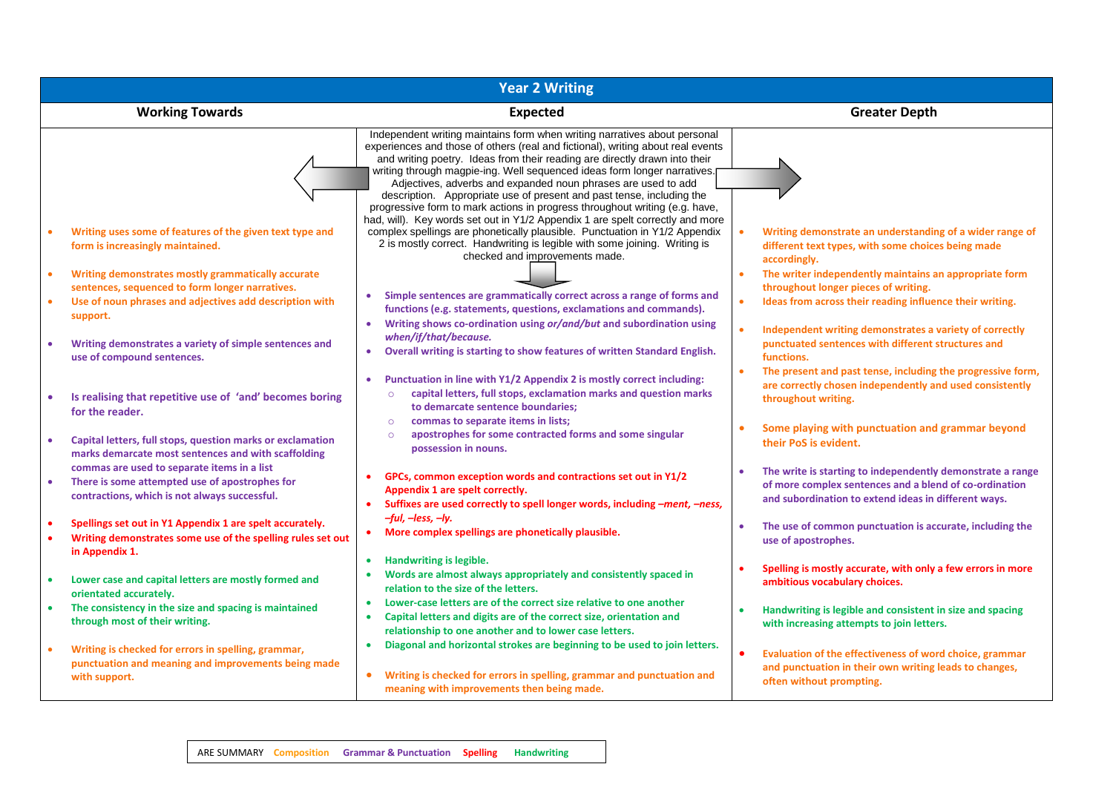| <b>Year 2 Writing</b> |                                                                                                                                                                                                       |                                                                                                                                                                                                                                                                                                                                                                                                                                                                                                                                                                                                                                                                                                                                                                                                                               |                                                                                                                                                                                                                             |  |
|-----------------------|-------------------------------------------------------------------------------------------------------------------------------------------------------------------------------------------------------|-------------------------------------------------------------------------------------------------------------------------------------------------------------------------------------------------------------------------------------------------------------------------------------------------------------------------------------------------------------------------------------------------------------------------------------------------------------------------------------------------------------------------------------------------------------------------------------------------------------------------------------------------------------------------------------------------------------------------------------------------------------------------------------------------------------------------------|-----------------------------------------------------------------------------------------------------------------------------------------------------------------------------------------------------------------------------|--|
|                       | <b>Working Towards</b>                                                                                                                                                                                | <b>Expected</b>                                                                                                                                                                                                                                                                                                                                                                                                                                                                                                                                                                                                                                                                                                                                                                                                               | <b>Greater Depth</b>                                                                                                                                                                                                        |  |
|                       | Writing uses some of features of the given text type and<br>form is increasingly maintained.                                                                                                          | Independent writing maintains form when writing narratives about personal<br>experiences and those of others (real and fictional), writing about real events<br>and writing poetry. Ideas from their reading are directly drawn into their<br>writing through magpie-ing. Well sequenced ideas form longer narratives.<br>Adjectives, adverbs and expanded noun phrases are used to add<br>description. Appropriate use of present and past tense, including the<br>progressive form to mark actions in progress throughout writing (e.g. have,<br>had, will). Key words set out in Y1/2 Appendix 1 are spelt correctly and more<br>complex spellings are phonetically plausible. Punctuation in Y1/2 Appendix<br>2 is mostly correct. Handwriting is legible with some joining. Writing is<br>checked and improvements made. | Writing demonstrate an understanding of a wider range of<br>different text types, with some choices being made<br>accordingly.                                                                                              |  |
|                       | Writing demonstrates mostly grammatically accurate<br>sentences, sequenced to form longer narratives.<br>Use of noun phrases and adjectives add description with<br>support.                          | Simple sentences are grammatically correct across a range of forms and<br>functions (e.g. statements, questions, exclamations and commands).                                                                                                                                                                                                                                                                                                                                                                                                                                                                                                                                                                                                                                                                                  | The writer independently maintains an appropriate form<br>$\bullet$<br>throughout longer pieces of writing.<br>Ideas from across their reading influence their writing.                                                     |  |
|                       | Writing demonstrates a variety of simple sentences and<br>use of compound sentences.                                                                                                                  | Writing shows co-ordination using or/and/but and subordination using<br>$\bullet$<br>when/if/that/because.<br>Overall writing is starting to show features of written Standard English.<br>$\bullet$                                                                                                                                                                                                                                                                                                                                                                                                                                                                                                                                                                                                                          | Independent writing demonstrates a variety of correctly<br>punctuated sentences with different structures and<br>functions.<br>$\bullet$                                                                                    |  |
|                       | Is realising that repetitive use of 'and' becomes boring<br>for the reader.<br>Capital letters, full stops, question marks or exclamation                                                             | Punctuation in line with Y1/2 Appendix 2 is mostly correct including:<br>capital letters, full stops, exclamation marks and question marks<br>$\circ$<br>to demarcate sentence boundaries;<br>commas to separate items in lists;<br>$\circ$<br>apostrophes for some contracted forms and some singular<br>$\circ$<br>possession in nouns.                                                                                                                                                                                                                                                                                                                                                                                                                                                                                     | The present and past tense, including the progressive form,<br>are correctly chosen independently and used consistently<br>throughout writing.<br>Some playing with punctuation and grammar beyond<br>their PoS is evident. |  |
|                       | marks demarcate most sentences and with scaffolding<br>commas are used to separate items in a list<br>There is some attempted use of apostrophes for<br>contractions, which is not always successful. | GPCs, common exception words and contractions set out in Y1/2<br>Appendix 1 are spelt correctly.<br>Suffixes are used correctly to spell longer words, including -ment, -ness,                                                                                                                                                                                                                                                                                                                                                                                                                                                                                                                                                                                                                                                | The write is starting to independently demonstrate a range<br>of more complex sentences and a blend of co-ordination<br>and subordination to extend ideas in different ways.                                                |  |
|                       | Spellings set out in Y1 Appendix 1 are spelt accurately.<br>Writing demonstrates some use of the spelling rules set out<br>in Appendix 1.                                                             | -ful, -less, -ly.<br>More complex spellings are phonetically plausible.<br>$\bullet$<br>Handwriting is legible.<br>$\bullet$                                                                                                                                                                                                                                                                                                                                                                                                                                                                                                                                                                                                                                                                                                  | The use of common punctuation is accurate, including the<br>use of apostrophes.                                                                                                                                             |  |
|                       | Lower case and capital letters are mostly formed and<br>orientated accurately.<br>The consistency in the size and spacing is maintained<br>through most of their writing.                             | Words are almost always appropriately and consistently spaced in<br>relation to the size of the letters.<br>Lower-case letters are of the correct size relative to one another<br>$\bullet$<br>Capital letters and digits are of the correct size, orientation and<br>$\bullet$<br>relationship to one another and to lower case letters.                                                                                                                                                                                                                                                                                                                                                                                                                                                                                     | Spelling is mostly accurate, with only a few errors in more<br>ambitious vocabulary choices.<br>Handwriting is legible and consistent in size and spacing<br>with increasing attempts to join letters.                      |  |
|                       | Writing is checked for errors in spelling, grammar,<br>punctuation and meaning and improvements being made<br>with support.                                                                           | Diagonal and horizontal strokes are beginning to be used to join letters.<br>$\bullet$<br>Writing is checked for errors in spelling, grammar and punctuation and<br>$\bullet$<br>meaning with improvements then being made.                                                                                                                                                                                                                                                                                                                                                                                                                                                                                                                                                                                                   | Evaluation of the effectiveness of word choice, grammar<br>and punctuation in their own writing leads to changes,<br>often without prompting.                                                                               |  |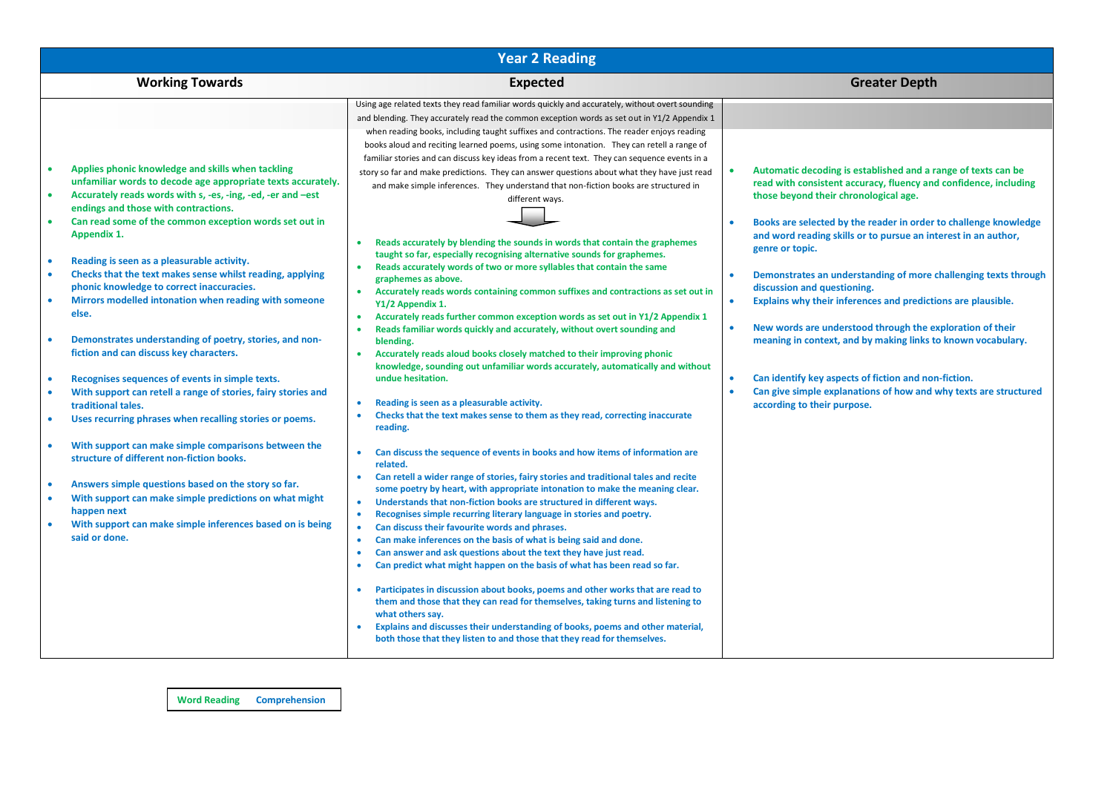| <b>Year 2 Reading</b>                                                                                                                                                                                                                                                                                                                                                                                                                                                                                                                                                                                                                                                                                                                                                                                                                                                                                                                                                                                                                                                                                                                                                                                                                                                                                                   |                                                                                                                                                                                                                                                                                                                                                                                                                                                                                                                                                                                                                                                                                                                                                                                                                                                                                                                                                                                                                                                                                                                                                                                                                                                                                                                                                                                                                                                                                                                                                                                                                                                                                                                                                                                                                                                                                                                                                                                                                                                                                                                                                                                                                                                                                                                                                                                                                                                         |                                                                                                                                                                                                                                                                                                                                                                                                                                                                                                                                                                                                                                                                                                                                                                                                                         |  |  |  |
|-------------------------------------------------------------------------------------------------------------------------------------------------------------------------------------------------------------------------------------------------------------------------------------------------------------------------------------------------------------------------------------------------------------------------------------------------------------------------------------------------------------------------------------------------------------------------------------------------------------------------------------------------------------------------------------------------------------------------------------------------------------------------------------------------------------------------------------------------------------------------------------------------------------------------------------------------------------------------------------------------------------------------------------------------------------------------------------------------------------------------------------------------------------------------------------------------------------------------------------------------------------------------------------------------------------------------|---------------------------------------------------------------------------------------------------------------------------------------------------------------------------------------------------------------------------------------------------------------------------------------------------------------------------------------------------------------------------------------------------------------------------------------------------------------------------------------------------------------------------------------------------------------------------------------------------------------------------------------------------------------------------------------------------------------------------------------------------------------------------------------------------------------------------------------------------------------------------------------------------------------------------------------------------------------------------------------------------------------------------------------------------------------------------------------------------------------------------------------------------------------------------------------------------------------------------------------------------------------------------------------------------------------------------------------------------------------------------------------------------------------------------------------------------------------------------------------------------------------------------------------------------------------------------------------------------------------------------------------------------------------------------------------------------------------------------------------------------------------------------------------------------------------------------------------------------------------------------------------------------------------------------------------------------------------------------------------------------------------------------------------------------------------------------------------------------------------------------------------------------------------------------------------------------------------------------------------------------------------------------------------------------------------------------------------------------------------------------------------------------------------------------------------------------------|-------------------------------------------------------------------------------------------------------------------------------------------------------------------------------------------------------------------------------------------------------------------------------------------------------------------------------------------------------------------------------------------------------------------------------------------------------------------------------------------------------------------------------------------------------------------------------------------------------------------------------------------------------------------------------------------------------------------------------------------------------------------------------------------------------------------------|--|--|--|
| <b>Working Towards</b>                                                                                                                                                                                                                                                                                                                                                                                                                                                                                                                                                                                                                                                                                                                                                                                                                                                                                                                                                                                                                                                                                                                                                                                                                                                                                                  | <b>Expected</b>                                                                                                                                                                                                                                                                                                                                                                                                                                                                                                                                                                                                                                                                                                                                                                                                                                                                                                                                                                                                                                                                                                                                                                                                                                                                                                                                                                                                                                                                                                                                                                                                                                                                                                                                                                                                                                                                                                                                                                                                                                                                                                                                                                                                                                                                                                                                                                                                                                         | <b>Greater Depth</b>                                                                                                                                                                                                                                                                                                                                                                                                                                                                                                                                                                                                                                                                                                                                                                                                    |  |  |  |
| Applies phonic knowledge and skills when tackling<br>$\bullet$<br>unfamiliar words to decode age appropriate texts accurately.<br>Accurately reads words with s, -es, -ing, -ed, -er and -est<br>$\bullet$<br>endings and those with contractions.<br>Can read some of the common exception words set out in<br>$\bullet$<br>Appendix 1.<br>Reading is seen as a pleasurable activity.<br>$\bullet$<br>Checks that the text makes sense whilst reading, applying<br>٠<br>phonic knowledge to correct inaccuracies.<br>Mirrors modelled intonation when reading with someone<br>$\bullet$<br>else.<br>Demonstrates understanding of poetry, stories, and non-<br>٠<br>fiction and can discuss key characters.<br>Recognises sequences of events in simple texts.<br>$\bullet$<br>With support can retell a range of stories, fairy stories and<br>$\bullet$<br>traditional tales.<br>Uses recurring phrases when recalling stories or poems.<br>$\bullet$<br>With support can make simple comparisons between the<br>$\bullet$<br>structure of different non-fiction books.<br>Answers simple questions based on the story so far.<br>٠<br>With support can make simple predictions on what might<br>$\bullet$<br>happen next<br>With support can make simple inferences based on is being<br>$\bullet$<br>said or done. | Using age related texts they read familiar words quickly and accurately, without overt sounding<br>and blending. They accurately read the common exception words as set out in Y1/2 Appendix 1<br>when reading books, including taught suffixes and contractions. The reader enjoys reading<br>books aloud and reciting learned poems, using some intonation. They can retell a range of<br>familiar stories and can discuss key ideas from a recent text. They can sequence events in a<br>story so far and make predictions. They can answer questions about what they have just read<br>and make simple inferences. They understand that non-fiction books are structured in<br>different ways.<br>Reads accurately by blending the sounds in words that contain the graphemes<br>$\bullet$<br>taught so far, especially recognising alternative sounds for graphemes.<br>Reads accurately words of two or more syllables that contain the same<br>$\bullet$<br>graphemes as above.<br>Accurately reads words containing common suffixes and contractions as set out in<br>Y1/2 Appendix 1.<br>Accurately reads further common exception words as set out in Y1/2 Appendix 1<br>$\bullet$<br>Reads familiar words quickly and accurately, without overt sounding and<br>$\bullet$<br>blending.<br>Accurately reads aloud books closely matched to their improving phonic<br>$\bullet$<br>knowledge, sounding out unfamiliar words accurately, automatically and without<br>undue hesitation.<br>Reading is seen as a pleasurable activity.<br>$\bullet$<br>Checks that the text makes sense to them as they read, correcting inaccurate<br>$\bullet$<br>reading.<br>Can discuss the sequence of events in books and how items of information are<br>related.<br>Can retell a wider range of stories, fairy stories and traditional tales and recite<br>$\bullet$<br>some poetry by heart, with appropriate intonation to make the meaning clear.<br>Understands that non-fiction books are structured in different ways.<br>$\bullet$<br>Recognises simple recurring literary language in stories and poetry.<br>$\bullet$<br>Can discuss their favourite words and phrases.<br>$\bullet$<br>Can make inferences on the basis of what is being said and done.<br>$\bullet$<br>Can answer and ask questions about the text they have just read.<br>$\bullet$<br>Can predict what might happen on the basis of what has been read so far.<br>$\bullet$ | Automatic decoding is established and a range of texts can be<br>read with consistent accuracy, fluency and confidence, including<br>those beyond their chronological age.<br>Books are selected by the reader in order to challenge knowledge<br>and word reading skills or to pursue an interest in an author,<br>genre or topic.<br>Demonstrates an understanding of more challenging texts through<br>discussion and questioning.<br>Explains why their inferences and predictions are plausible.<br>$\bullet$<br>New words are understood through the exploration of their<br>$\bullet$<br>meaning in context, and by making links to known vocabulary.<br>Can identify key aspects of fiction and non-fiction.<br>Can give simple explanations of how and why texts are structured<br>according to their purpose. |  |  |  |
|                                                                                                                                                                                                                                                                                                                                                                                                                                                                                                                                                                                                                                                                                                                                                                                                                                                                                                                                                                                                                                                                                                                                                                                                                                                                                                                         | Participates in discussion about books, poems and other works that are read to<br>$\bullet$<br>them and those that they can read for themselves, taking turns and listening to<br>what others say.<br>Explains and discusses their understanding of books, poems and other material,<br>both those that they listen to and those that they read for themselves.                                                                                                                                                                                                                                                                                                                                                                                                                                                                                                                                                                                                                                                                                                                                                                                                                                                                                                                                                                                                                                                                                                                                                                                                                                                                                                                                                                                                                                                                                                                                                                                                                                                                                                                                                                                                                                                                                                                                                                                                                                                                                         |                                                                                                                                                                                                                                                                                                                                                                                                                                                                                                                                                                                                                                                                                                                                                                                                                         |  |  |  |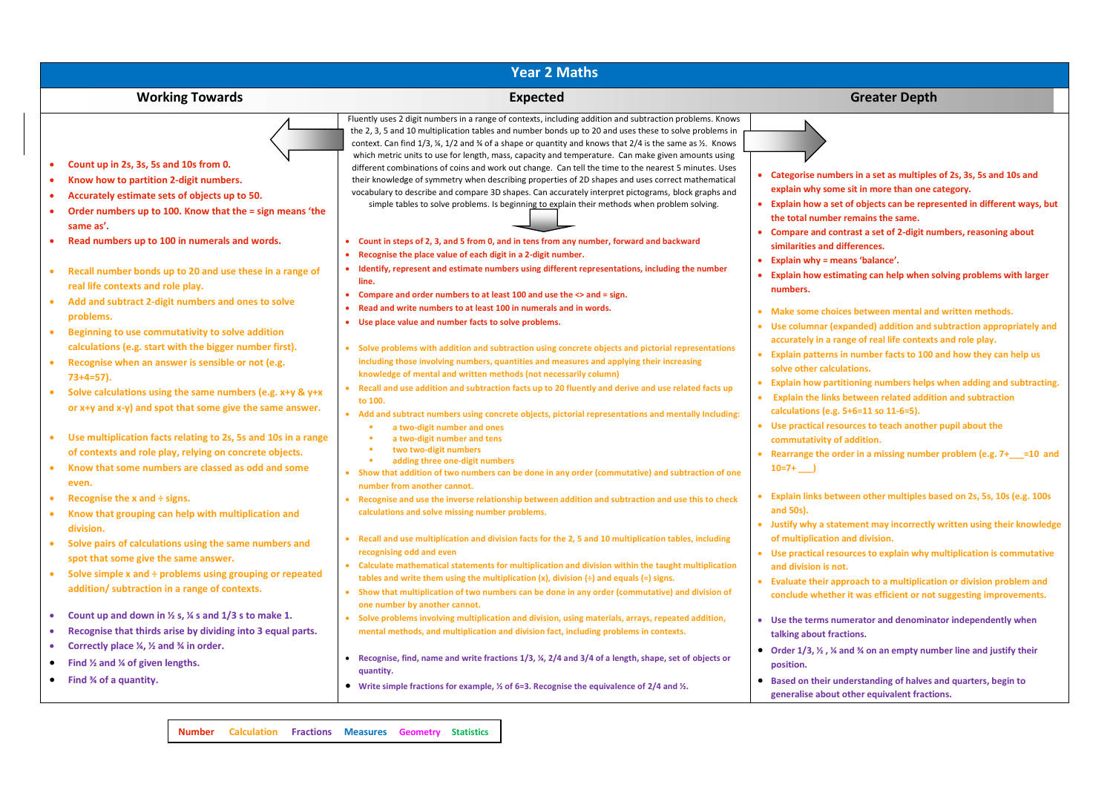| <b>Year 2 Maths</b>                                                                                                                                                                                                                                                                                                                                                                                                                                                                                                                                                                                                                   |                                                                                                                                                                                                                                                                                                                                                                                                                                                                                                                                                                                                                                                                                                                                                                                                                                                                                                                                                                                                                                                                                                                                                                                                                                           |                                                                                                                                                                                                                                                                                                                                                                                                                                                                                                                                                                                                                                                          |  |  |  |
|---------------------------------------------------------------------------------------------------------------------------------------------------------------------------------------------------------------------------------------------------------------------------------------------------------------------------------------------------------------------------------------------------------------------------------------------------------------------------------------------------------------------------------------------------------------------------------------------------------------------------------------|-------------------------------------------------------------------------------------------------------------------------------------------------------------------------------------------------------------------------------------------------------------------------------------------------------------------------------------------------------------------------------------------------------------------------------------------------------------------------------------------------------------------------------------------------------------------------------------------------------------------------------------------------------------------------------------------------------------------------------------------------------------------------------------------------------------------------------------------------------------------------------------------------------------------------------------------------------------------------------------------------------------------------------------------------------------------------------------------------------------------------------------------------------------------------------------------------------------------------------------------|----------------------------------------------------------------------------------------------------------------------------------------------------------------------------------------------------------------------------------------------------------------------------------------------------------------------------------------------------------------------------------------------------------------------------------------------------------------------------------------------------------------------------------------------------------------------------------------------------------------------------------------------------------|--|--|--|
| <b>Working Towards</b>                                                                                                                                                                                                                                                                                                                                                                                                                                                                                                                                                                                                                | <b>Expected</b>                                                                                                                                                                                                                                                                                                                                                                                                                                                                                                                                                                                                                                                                                                                                                                                                                                                                                                                                                                                                                                                                                                                                                                                                                           | <b>Greater Depth</b>                                                                                                                                                                                                                                                                                                                                                                                                                                                                                                                                                                                                                                     |  |  |  |
| Count up in 2s, 3s, 5s and 10s from 0.<br>Know how to partition 2-digit numbers.<br>Accurately estimate sets of objects up to 50.<br>$\bullet$<br>Order numbers up to 100. Know that the = sign means 'the<br>$\bullet$<br>same as'.<br>Read numbers up to 100 in numerals and words.<br>$\bullet$<br>Recall number bonds up to 20 and use these in a range of<br>$\bullet$<br>real life contexts and role play.                                                                                                                                                                                                                      | Fluently uses 2 digit numbers in a range of contexts, including addition and subtraction problems. Knows<br>the 2, 3, 5 and 10 multiplication tables and number bonds up to 20 and uses these to solve problems in<br>context. Can find $1/3$ , $\frac{1}{2}$ and $\frac{3}{4}$ of a shape or quantity and knows that $2/4$ is the same as $\frac{1}{2}$ . Knows<br>which metric units to use for length, mass, capacity and temperature. Can make given amounts using<br>different combinations of coins and work out change. Can tell the time to the nearest 5 minutes. Uses<br>their knowledge of symmetry when describing properties of 2D shapes and uses correct mathematical<br>vocabulary to describe and compare 3D shapes. Can accurately interpret pictograms, block graphs and<br>simple tables to solve problems. Is beginning to explain their methods when problem solving.<br>Count in steps of 2, 3, and 5 from 0, and in tens from any number, forward and backward<br>Recognise the place value of each digit in a 2-digit number.<br>Identify, represent and estimate numbers using different representations, including the number<br>line.<br>Compare and order numbers to at least 100 and use the <> and = sign. | Categorise numbers in a set as multiples of 2s, 3s, 5s and 10s and<br>explain why some sit in more than one category.<br>• Explain how a set of objects can be represented in different ways, but<br>the total number remains the same.<br>• Compare and contrast a set of 2-digit numbers, reasoning about<br>similarities and differences.<br><b>Explain why = means 'balance'.</b><br>• Explain how estimating can help when solving problems with larger<br>numbers.                                                                                                                                                                                 |  |  |  |
| Add and subtract 2-digit numbers and ones to solve<br>problems.<br>Beginning to use commutativity to solve addition<br>$\bullet$<br>calculations (e.g. start with the bigger number first).<br>Recognise when an answer is sensible or not (e.g.<br>$\bullet$<br>$73+4=57$ ).<br>Solve calculations using the same numbers (e.g. $x+y$ & $y+x$<br>$\bullet$<br>or $x+y$ and $x-y$ and spot that some give the same answer.<br>• Use multiplication facts relating to 2s, 5s and 10s in a range<br>of contexts and role play, relying on concrete objects.<br>Know that some numbers are classed as odd and some<br>$\bullet$<br>even. | Read and write numbers to at least 100 in numerals and in words.<br>٠<br>Use place value and number facts to solve problems.<br>• Solve problems with addition and subtraction using concrete objects and pictorial representations<br>including those involving numbers, quantities and measures and applying their increasing<br>knowledge of mental and written methods (not necessarily column)<br>• Recall and use addition and subtraction facts up to 20 fluently and derive and use related facts up<br>to 100.<br>• Add and subtract numbers using concrete objects, pictorial representations and mentally Including:<br>a two-digit number and ones<br>a two-digit number and tens<br>٠<br>two two-digit numbers<br>adding three one-digit numbers<br>• Show that addition of two numbers can be done in any order (commutative) and subtraction of one                                                                                                                                                                                                                                                                                                                                                                        | • Make some choices between mental and written methods.<br>• Use columnar (expanded) addition and subtraction appropriately and<br>accurately in a range of real life contexts and role play.<br>• Explain patterns in number facts to 100 and how they can help us<br>solve other calculations.<br>• Explain how partitioning numbers helps when adding and subtracting.<br><b>Explain the links between related addition and subtraction</b><br>calculations (e.g. 5+6=11 so 11-6=5).<br>• Use practical resources to teach another pupil about the<br>commutativity of addition.<br>Rearrange the order in a missing number problem (e.g. 7+__=10 and |  |  |  |
| Recognise the $x$ and $\div$ signs.<br>• Know that grouping can help with multiplication and<br>division.<br>Solve pairs of calculations using the same numbers and<br>$\bullet$<br>spot that some give the same answer.<br>• Solve simple $x$ and $\div$ problems using grouping or repeated<br>addition/ subtraction in a range of contexts.                                                                                                                                                                                                                                                                                        | number from another cannot.<br>• Recognise and use the inverse relationship between addition and subtraction and use this to check<br>calculations and solve missing number problems.<br>Recall and use multiplication and division facts for the 2, 5 and 10 multiplication tables, including<br>recognising odd and even<br>• Calculate mathematical statements for multiplication and division within the taught multiplication<br>tables and write them using the multiplication $(x)$ , division $(+)$ and equals $(=)$ signs.<br>• Show that multiplication of two numbers can be done in any order (commutative) and division of<br>one number by another cannot.                                                                                                                                                                                                                                                                                                                                                                                                                                                                                                                                                                  | • Explain links between other multiples based on 2s, 5s, 10s (e.g. 100s)<br>and 50s).<br>• Justify why a statement may incorrectly written using their knowledge<br>of multiplication and division.<br>• Use practical resources to explain why multiplication is commutative<br>and division is not.<br>Evaluate their approach to a multiplication or division problem and<br>conclude whether it was efficient or not suggesting improvements.                                                                                                                                                                                                        |  |  |  |
| Count up and down in $\frac{1}{2}$ s, $\frac{1}{4}$ s and $\frac{1}{3}$ s to make 1.<br>$\bullet$<br>Recognise that thirds arise by dividing into 3 equal parts.<br>$\bullet$<br>Correctly place ¼, ½ and ¾ in order.<br>$\bullet$<br>Find $\frac{1}{2}$ and $\frac{1}{4}$ of given lengths.<br>$\bullet$<br>• Find $\frac{3}{4}$ of a quantity.                                                                                                                                                                                                                                                                                      | • Solve problems involving multiplication and division, using materials, arrays, repeated addition,<br>mental methods, and multiplication and division fact, including problems in contexts.<br>• Recognise, find, name and write fractions 1/3, %, 2/4 and 3/4 of a length, shape, set of objects or<br>quantity.<br>• Write simple fractions for example, $\frac{1}{2}$ of 6=3. Recognise the equivalence of 2/4 and $\frac{1}{2}$ .                                                                                                                                                                                                                                                                                                                                                                                                                                                                                                                                                                                                                                                                                                                                                                                                    | • Use the terms numerator and denominator independently when<br>talking about fractions.<br>• Order $1/3$ , $\frac{1}{2}$ , $\frac{1}{4}$ and $\frac{3}{4}$ on an empty number line and justify their<br>position.<br>• Based on their understanding of halves and quarters, begin to<br>generalise about other equivalent fractions.                                                                                                                                                                                                                                                                                                                    |  |  |  |

**Number Calculation Fractions Measures Geometry Statistics**